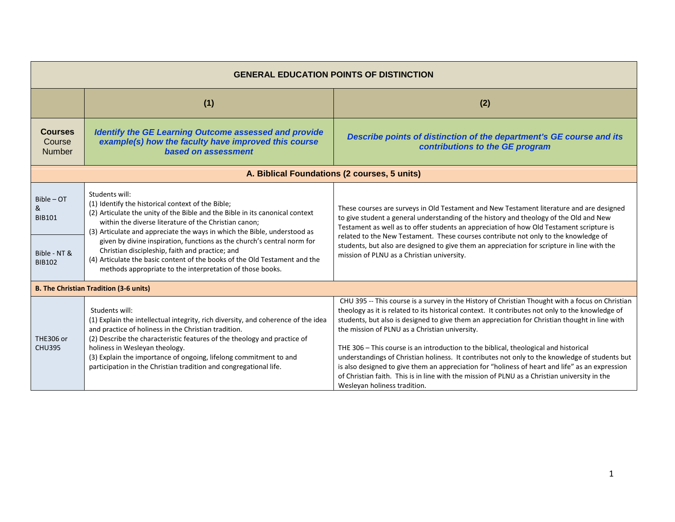| <b>GENERAL EDUCATION POINTS OF DISTINCTION</b>                      |                                                                                                                                                                                                                                                                                                                                                                                                                                                                                                                                                                   |                                                                                                                                                                                                                                                                                                                                                                                                                                                                                                                                                                                                                                                                                                                                                                                        |
|---------------------------------------------------------------------|-------------------------------------------------------------------------------------------------------------------------------------------------------------------------------------------------------------------------------------------------------------------------------------------------------------------------------------------------------------------------------------------------------------------------------------------------------------------------------------------------------------------------------------------------------------------|----------------------------------------------------------------------------------------------------------------------------------------------------------------------------------------------------------------------------------------------------------------------------------------------------------------------------------------------------------------------------------------------------------------------------------------------------------------------------------------------------------------------------------------------------------------------------------------------------------------------------------------------------------------------------------------------------------------------------------------------------------------------------------------|
|                                                                     | (1)                                                                                                                                                                                                                                                                                                                                                                                                                                                                                                                                                               | (2)                                                                                                                                                                                                                                                                                                                                                                                                                                                                                                                                                                                                                                                                                                                                                                                    |
| <b>Courses</b><br>Course<br><b>Number</b>                           | <b>Identify the GE Learning Outcome assessed and provide</b><br>example(s) how the faculty have improved this course<br>based on assessment                                                                                                                                                                                                                                                                                                                                                                                                                       | Describe points of distinction of the department's GE course and its<br>contributions to the GE program                                                                                                                                                                                                                                                                                                                                                                                                                                                                                                                                                                                                                                                                                |
|                                                                     |                                                                                                                                                                                                                                                                                                                                                                                                                                                                                                                                                                   | A. Biblical Foundations (2 courses, 5 units)                                                                                                                                                                                                                                                                                                                                                                                                                                                                                                                                                                                                                                                                                                                                           |
| $Bible - OT$<br>&<br><b>BIB101</b><br>Bible - NT &<br><b>BIB102</b> | Students will:<br>(1) Identify the historical context of the Bible;<br>(2) Articulate the unity of the Bible and the Bible in its canonical context<br>within the diverse literature of the Christian canon:<br>(3) Articulate and appreciate the ways in which the Bible, understood as<br>given by divine inspiration, functions as the church's central norm for<br>Christian discipleship, faith and practice; and<br>(4) Articulate the basic content of the books of the Old Testament and the<br>methods appropriate to the interpretation of those books. | These courses are surveys in Old Testament and New Testament literature and are designed<br>to give student a general understanding of the history and theology of the Old and New<br>Testament as well as to offer students an appreciation of how Old Testament scripture is<br>related to the New Testament. These courses contribute not only to the knowledge of<br>students, but also are designed to give them an appreciation for scripture in line with the<br>mission of PLNU as a Christian university.                                                                                                                                                                                                                                                                     |
|                                                                     | <b>B. The Christian Tradition (3-6 units)</b>                                                                                                                                                                                                                                                                                                                                                                                                                                                                                                                     |                                                                                                                                                                                                                                                                                                                                                                                                                                                                                                                                                                                                                                                                                                                                                                                        |
| <b>THE306 or</b><br><b>CHU395</b>                                   | Students will:<br>(1) Explain the intellectual integrity, rich diversity, and coherence of the idea<br>and practice of holiness in the Christian tradition.<br>(2) Describe the characteristic features of the theology and practice of<br>holiness in Wesleyan theology.<br>(3) Explain the importance of ongoing, lifelong commitment to and<br>participation in the Christian tradition and congregational life.                                                                                                                                               | CHU 395 -- This course is a survey in the History of Christian Thought with a focus on Christian<br>theology as it is related to its historical context. It contributes not only to the knowledge of<br>students, but also is designed to give them an appreciation for Christian thought in line with<br>the mission of PLNU as a Christian university.<br>THE 306 - This course is an introduction to the biblical, theological and historical<br>understandings of Christian holiness. It contributes not only to the knowledge of students but<br>is also designed to give them an appreciation for "holiness of heart and life" as an expression<br>of Christian faith. This is in line with the mission of PLNU as a Christian university in the<br>Wesleyan holiness tradition. |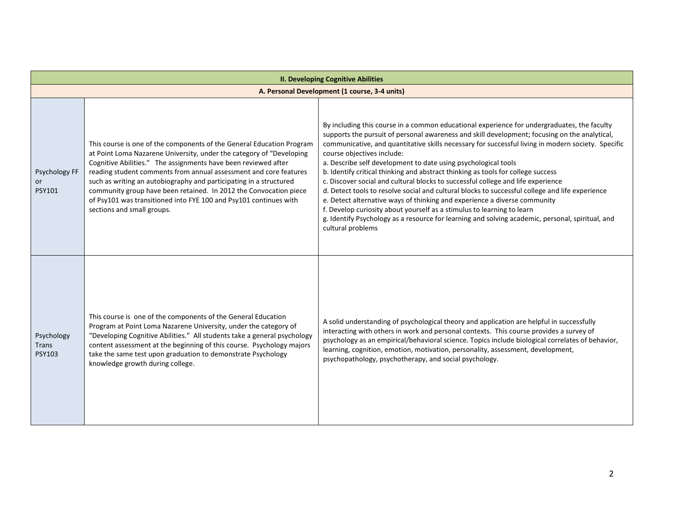| <b>II. Developing Cognitive Abilities</b>     |                                                                                                                                                                                                                                                                                                                                                                                                                                                                                                                                    |                                                                                                                                                                                                                                                                                                                                                                                                                                                                                                                                                                                                                                                                                                                                                                                                                                                                                                                                                               |
|-----------------------------------------------|------------------------------------------------------------------------------------------------------------------------------------------------------------------------------------------------------------------------------------------------------------------------------------------------------------------------------------------------------------------------------------------------------------------------------------------------------------------------------------------------------------------------------------|---------------------------------------------------------------------------------------------------------------------------------------------------------------------------------------------------------------------------------------------------------------------------------------------------------------------------------------------------------------------------------------------------------------------------------------------------------------------------------------------------------------------------------------------------------------------------------------------------------------------------------------------------------------------------------------------------------------------------------------------------------------------------------------------------------------------------------------------------------------------------------------------------------------------------------------------------------------|
| A. Personal Development (1 course, 3-4 units) |                                                                                                                                                                                                                                                                                                                                                                                                                                                                                                                                    |                                                                                                                                                                                                                                                                                                                                                                                                                                                                                                                                                                                                                                                                                                                                                                                                                                                                                                                                                               |
| Psychology FF<br><b>or</b><br><b>PSY101</b>   | This course is one of the components of the General Education Program<br>at Point Loma Nazarene University, under the category of "Developing<br>Cognitive Abilities." The assignments have been reviewed after<br>reading student comments from annual assessment and core features<br>such as writing an autobiography and participating in a structured<br>community group have been retained. In 2012 the Convocation piece<br>of Psy101 was transitioned into FYE 100 and Psy101 continues with<br>sections and small groups. | By including this course in a common educational experience for undergraduates, the faculty<br>supports the pursuit of personal awareness and skill development; focusing on the analytical,<br>communicative, and quantitative skills necessary for successful living in modern society. Specific<br>course objectives include:<br>a. Describe self development to date using psychological tools<br>b. Identify critical thinking and abstract thinking as tools for college success<br>c. Discover social and cultural blocks to successful college and life experience<br>d. Detect tools to resolve social and cultural blocks to successful college and life experience<br>e. Detect alternative ways of thinking and experience a diverse community<br>f. Develop curiosity about yourself as a stimulus to learning to learn<br>g. Identify Psychology as a resource for learning and solving academic, personal, spiritual, and<br>cultural problems |
| Psychology<br>Trans<br><b>PSY103</b>          | This course is one of the components of the General Education<br>Program at Point Loma Nazarene University, under the category of<br>"Developing Cognitive Abilities." All students take a general psychology<br>content assessment at the beginning of this course. Psychology majors<br>take the same test upon graduation to demonstrate Psychology<br>knowledge growth during college.                                                                                                                                         | A solid understanding of psychological theory and application are helpful in successfully<br>interacting with others in work and personal contexts. This course provides a survey of<br>psychology as an empirical/behavioral science. Topics include biological correlates of behavior,<br>learning, cognition, emotion, motivation, personality, assessment, development,<br>psychopathology, psychotherapy, and social psychology.                                                                                                                                                                                                                                                                                                                                                                                                                                                                                                                         |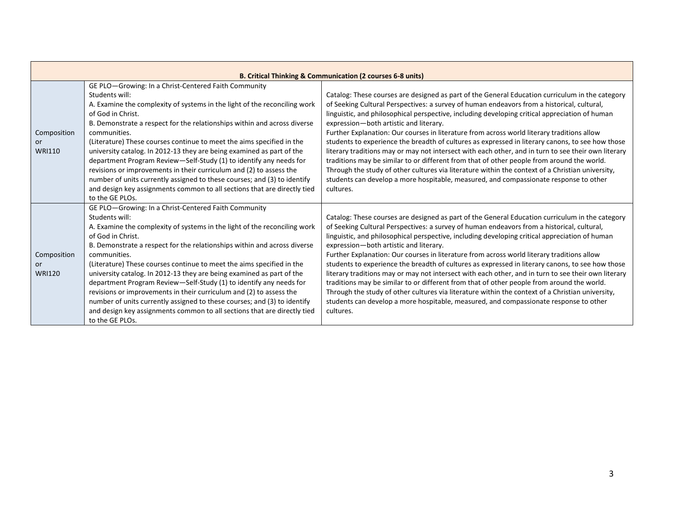|                                           |                                                                                                                                                                                                                                                                                                                                                                                                                                                                                                                                                                                                                                                                                                                                                | <b>B. Critical Thinking &amp; Communication (2 courses 6-8 units)</b>                                                                                                                                                                                                                                                                                                                                                                                                                                                                                                                                                                                                                                                                                                                                                                                                                                                                                      |
|-------------------------------------------|------------------------------------------------------------------------------------------------------------------------------------------------------------------------------------------------------------------------------------------------------------------------------------------------------------------------------------------------------------------------------------------------------------------------------------------------------------------------------------------------------------------------------------------------------------------------------------------------------------------------------------------------------------------------------------------------------------------------------------------------|------------------------------------------------------------------------------------------------------------------------------------------------------------------------------------------------------------------------------------------------------------------------------------------------------------------------------------------------------------------------------------------------------------------------------------------------------------------------------------------------------------------------------------------------------------------------------------------------------------------------------------------------------------------------------------------------------------------------------------------------------------------------------------------------------------------------------------------------------------------------------------------------------------------------------------------------------------|
| Composition<br><b>or</b><br><b>WRI110</b> | GE PLO-Growing: In a Christ-Centered Faith Community<br>Students will:<br>A. Examine the complexity of systems in the light of the reconciling work<br>of God in Christ.<br>B. Demonstrate a respect for the relationships within and across diverse<br>communities.<br>(Literature) These courses continue to meet the aims specified in the<br>university catalog. In 2012-13 they are being examined as part of the<br>department Program Review-Self-Study (1) to identify any needs for<br>revisions or improvements in their curriculum and (2) to assess the<br>number of units currently assigned to these courses; and (3) to identify<br>and design key assignments common to all sections that are directly tied<br>to the GE PLOs. | Catalog: These courses are designed as part of the General Education curriculum in the category<br>of Seeking Cultural Perspectives: a survey of human endeavors from a historical, cultural,<br>linguistic, and philosophical perspective, including developing critical appreciation of human<br>expression-both artistic and literary.<br>Further Explanation: Our courses in literature from across world literary traditions allow<br>students to experience the breadth of cultures as expressed in literary canons, to see how those<br>literary traditions may or may not intersect with each other, and in turn to see their own literary<br>traditions may be similar to or different from that of other people from around the world.<br>Through the study of other cultures via literature within the context of a Christian university,<br>students can develop a more hospitable, measured, and compassionate response to other<br>cultures. |
| Composition<br>or<br><b>WRI120</b>        | GE PLO-Growing: In a Christ-Centered Faith Community<br>Students will:<br>A. Examine the complexity of systems in the light of the reconciling work<br>of God in Christ.<br>B. Demonstrate a respect for the relationships within and across diverse<br>communities.<br>(Literature) These courses continue to meet the aims specified in the<br>university catalog. In 2012-13 they are being examined as part of the<br>department Program Review-Self-Study (1) to identify any needs for<br>revisions or improvements in their curriculum and (2) to assess the<br>number of units currently assigned to these courses; and (3) to identify<br>and design key assignments common to all sections that are directly tied<br>to the GE PLOs. | Catalog: These courses are designed as part of the General Education curriculum in the category<br>of Seeking Cultural Perspectives: a survey of human endeavors from a historical, cultural,<br>linguistic, and philosophical perspective, including developing critical appreciation of human<br>expression-both artistic and literary.<br>Further Explanation: Our courses in literature from across world literary traditions allow<br>students to experience the breadth of cultures as expressed in literary canons, to see how those<br>literary traditions may or may not intersect with each other, and in turn to see their own literary<br>traditions may be similar to or different from that of other people from around the world.<br>Through the study of other cultures via literature within the context of a Christian university,<br>students can develop a more hospitable, measured, and compassionate response to other<br>cultures. |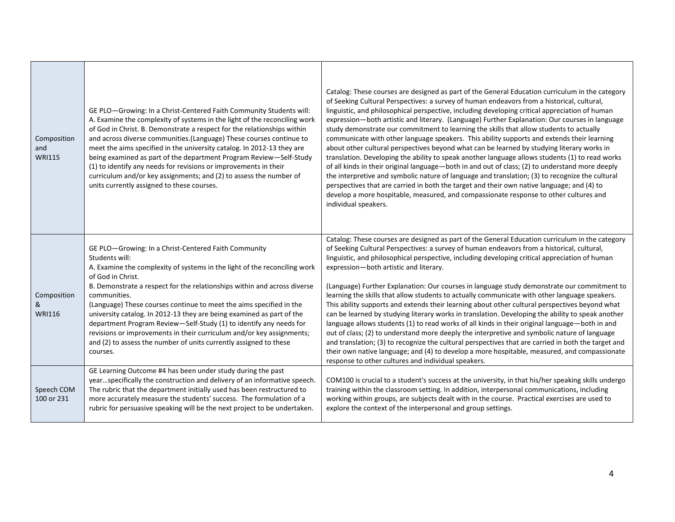| Composition<br>and<br><b>WRI115</b> | GE PLO-Growing: In a Christ-Centered Faith Community Students will:<br>A. Examine the complexity of systems in the light of the reconciling work<br>of God in Christ. B. Demonstrate a respect for the relationships within<br>and across diverse communities. (Language) These courses continue to<br>meet the aims specified in the university catalog. In 2012-13 they are<br>being examined as part of the department Program Review-Self-Study<br>(1) to identify any needs for revisions or improvements in their<br>curriculum and/or key assignments; and (2) to assess the number of<br>units currently assigned to these courses.          | Catalog: These courses are designed as part of the General Education curriculum in the category<br>of Seeking Cultural Perspectives: a survey of human endeavors from a historical, cultural,<br>linguistic, and philosophical perspective, including developing critical appreciation of human<br>expression-both artistic and literary. (Language) Further Explanation: Our courses in language<br>study demonstrate our commitment to learning the skills that allow students to actually<br>communicate with other language speakers. This ability supports and extends their learning<br>about other cultural perspectives beyond what can be learned by studying literary works in<br>translation. Developing the ability to speak another language allows students (1) to read works<br>of all kinds in their original language—both in and out of class; (2) to understand more deeply<br>the interpretive and symbolic nature of language and translation; (3) to recognize the cultural<br>perspectives that are carried in both the target and their own native language; and (4) to<br>develop a more hospitable, measured, and compassionate response to other cultures and<br>individual speakers. |
|-------------------------------------|------------------------------------------------------------------------------------------------------------------------------------------------------------------------------------------------------------------------------------------------------------------------------------------------------------------------------------------------------------------------------------------------------------------------------------------------------------------------------------------------------------------------------------------------------------------------------------------------------------------------------------------------------|------------------------------------------------------------------------------------------------------------------------------------------------------------------------------------------------------------------------------------------------------------------------------------------------------------------------------------------------------------------------------------------------------------------------------------------------------------------------------------------------------------------------------------------------------------------------------------------------------------------------------------------------------------------------------------------------------------------------------------------------------------------------------------------------------------------------------------------------------------------------------------------------------------------------------------------------------------------------------------------------------------------------------------------------------------------------------------------------------------------------------------------------------------------------------------------------------------------|
| Composition<br>&<br><b>WRI116</b>   | GE PLO-Growing: In a Christ-Centered Faith Community<br>Students will:<br>A. Examine the complexity of systems in the light of the reconciling work<br>of God in Christ.<br>B. Demonstrate a respect for the relationships within and across diverse<br>communities.<br>(Language) These courses continue to meet the aims specified in the<br>university catalog. In 2012-13 they are being examined as part of the<br>department Program Review-Self-Study (1) to identify any needs for<br>revisions or improvements in their curriculum and/or key assignments;<br>and (2) to assess the number of units currently assigned to these<br>courses. | Catalog: These courses are designed as part of the General Education curriculum in the category<br>of Seeking Cultural Perspectives: a survey of human endeavors from a historical, cultural,<br>linguistic, and philosophical perspective, including developing critical appreciation of human<br>expression-both artistic and literary.<br>(Language) Further Explanation: Our courses in language study demonstrate our commitment to<br>learning the skills that allow students to actually communicate with other language speakers.<br>This ability supports and extends their learning about other cultural perspectives beyond what<br>can be learned by studying literary works in translation. Developing the ability to speak another<br>language allows students (1) to read works of all kinds in their original language-both in and<br>out of class; (2) to understand more deeply the interpretive and symbolic nature of language<br>and translation; (3) to recognize the cultural perspectives that are carried in both the target and<br>their own native language; and (4) to develop a more hospitable, measured, and compassionate<br>response to other cultures and individual speakers. |
| Speech COM<br>100 or 231            | GE Learning Outcome #4 has been under study during the past<br>yearspecifically the construction and delivery of an informative speech.<br>The rubric that the department initially used has been restructured to<br>more accurately measure the students' success. The formulation of a<br>rubric for persuasive speaking will be the next project to be undertaken.                                                                                                                                                                                                                                                                                | COM100 is crucial to a student's success at the university, in that his/her speaking skills undergo<br>training within the classroom setting. In addition, interpersonal communications, including<br>working within groups, are subjects dealt with in the course. Practical exercises are used to<br>explore the context of the interpersonal and group settings.                                                                                                                                                                                                                                                                                                                                                                                                                                                                                                                                                                                                                                                                                                                                                                                                                                              |

┱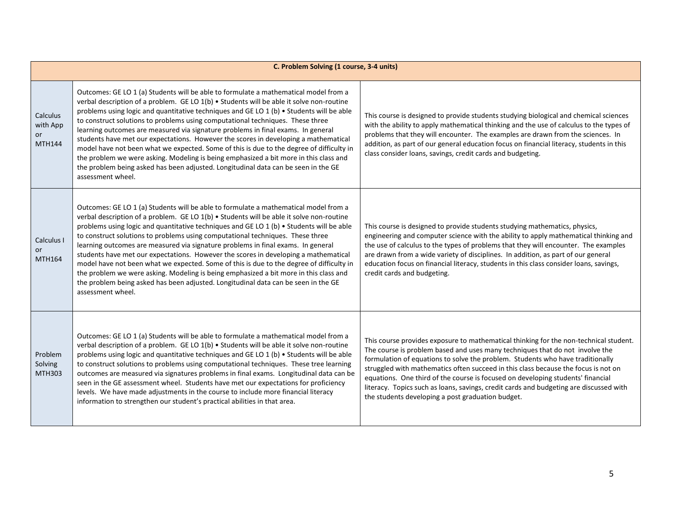|                                             | C. Problem Solving (1 course, 3-4 units)                                                                                                                                                                                                                                                                                                                                                                                                                                                                                                                                                                                                                                                                                                                                                                                                  |                                                                                                                                                                                                                                                                                                                                                                                                                                                                                                                                                                                 |  |
|---------------------------------------------|-------------------------------------------------------------------------------------------------------------------------------------------------------------------------------------------------------------------------------------------------------------------------------------------------------------------------------------------------------------------------------------------------------------------------------------------------------------------------------------------------------------------------------------------------------------------------------------------------------------------------------------------------------------------------------------------------------------------------------------------------------------------------------------------------------------------------------------------|---------------------------------------------------------------------------------------------------------------------------------------------------------------------------------------------------------------------------------------------------------------------------------------------------------------------------------------------------------------------------------------------------------------------------------------------------------------------------------------------------------------------------------------------------------------------------------|--|
| Calculus<br>with App<br>or<br><b>MTH144</b> | Outcomes: GE LO 1 (a) Students will be able to formulate a mathematical model from a<br>verbal description of a problem. GE LO 1(b) . Students will be able it solve non-routine<br>problems using logic and quantitative techniques and GE LO 1 (b) . Students will be able<br>to construct solutions to problems using computational techniques. These three<br>learning outcomes are measured via signature problems in final exams. In general<br>students have met our expectations. However the scores in developing a mathematical<br>model have not been what we expected. Some of this is due to the degree of difficulty in<br>the problem we were asking. Modeling is being emphasized a bit more in this class and<br>the problem being asked has been adjusted. Longitudinal data can be seen in the GE<br>assessment wheel. | This course is designed to provide students studying biological and chemical sciences<br>with the ability to apply mathematical thinking and the use of calculus to the types of<br>problems that they will encounter. The examples are drawn from the sciences. In<br>addition, as part of our general education focus on financial literacy, students in this<br>class consider loans, savings, credit cards and budgeting.                                                                                                                                                   |  |
| Calculus I<br>or<br>MTH164                  | Outcomes: GE LO 1 (a) Students will be able to formulate a mathematical model from a<br>verbal description of a problem. GE LO 1(b) • Students will be able it solve non-routine<br>problems using logic and quantitative techniques and GE LO 1 (b) . Students will be able<br>to construct solutions to problems using computational techniques. These three<br>learning outcomes are measured via signature problems in final exams. In general<br>students have met our expectations. However the scores in developing a mathematical<br>model have not been what we expected. Some of this is due to the degree of difficulty in<br>the problem we were asking. Modeling is being emphasized a bit more in this class and<br>the problem being asked has been adjusted. Longitudinal data can be seen in the GE<br>assessment wheel. | This course is designed to provide students studying mathematics, physics,<br>engineering and computer science with the ability to apply mathematical thinking and<br>the use of calculus to the types of problems that they will encounter. The examples<br>are drawn from a wide variety of disciplines. In addition, as part of our general<br>education focus on financial literacy, students in this class consider loans, savings,<br>credit cards and budgeting.                                                                                                         |  |
| Problem<br>Solving<br>MTH303                | Outcomes: GE LO 1 (a) Students will be able to formulate a mathematical model from a<br>verbal description of a problem. GE LO 1(b) . Students will be able it solve non-routine<br>problems using logic and quantitative techniques and GE LO 1 (b) . Students will be able<br>to construct solutions to problems using computational techniques. These tree learning<br>outcomes are measured via signatures problems in final exams. Longitudinal data can be<br>seen in the GE assessment wheel. Students have met our expectations for proficiency<br>levels. We have made adjustments in the course to include more financial literacy<br>information to strengthen our student's practical abilities in that area.                                                                                                                 | This course provides exposure to mathematical thinking for the non-technical student.<br>The course is problem based and uses many techniques that do not involve the<br>formulation of equations to solve the problem. Students who have traditionally<br>struggled with mathematics often succeed in this class because the focus is not on<br>equations. One third of the course is focused on developing students' financial<br>literacy. Topics such as loans, savings, credit cards and budgeting are discussed with<br>the students developing a post graduation budget. |  |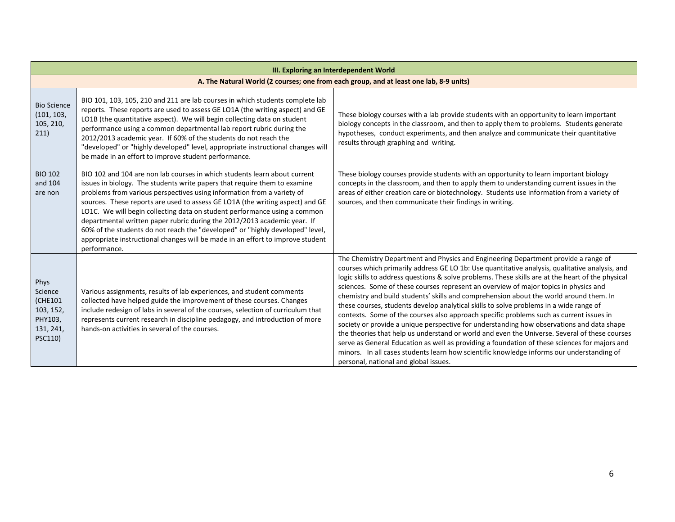| III. Exploring an Interdependent World                                     |                                                                                                                                                                                                                                                                                                                                                                                                                                                                                                                                                                                                                                                               |                                                                                                                                                                                                                                                                                                                                                                                                                                                                                                                                                                                                                                                                                                                                                                                                                                                                                                                                                                                                                                                                                                       |  |
|----------------------------------------------------------------------------|---------------------------------------------------------------------------------------------------------------------------------------------------------------------------------------------------------------------------------------------------------------------------------------------------------------------------------------------------------------------------------------------------------------------------------------------------------------------------------------------------------------------------------------------------------------------------------------------------------------------------------------------------------------|-------------------------------------------------------------------------------------------------------------------------------------------------------------------------------------------------------------------------------------------------------------------------------------------------------------------------------------------------------------------------------------------------------------------------------------------------------------------------------------------------------------------------------------------------------------------------------------------------------------------------------------------------------------------------------------------------------------------------------------------------------------------------------------------------------------------------------------------------------------------------------------------------------------------------------------------------------------------------------------------------------------------------------------------------------------------------------------------------------|--|
|                                                                            | A. The Natural World (2 courses; one from each group, and at least one lab, 8-9 units)                                                                                                                                                                                                                                                                                                                                                                                                                                                                                                                                                                        |                                                                                                                                                                                                                                                                                                                                                                                                                                                                                                                                                                                                                                                                                                                                                                                                                                                                                                                                                                                                                                                                                                       |  |
| <b>Bio Science</b><br>(101, 103,<br>105, 210,<br>211)                      | BIO 101, 103, 105, 210 and 211 are lab courses in which students complete lab<br>reports. These reports are used to assess GE LO1A (the writing aspect) and GE<br>LO1B (the quantitative aspect). We will begin collecting data on student<br>performance using a common departmental lab report rubric during the<br>2012/2013 academic year. If 60% of the students do not reach the<br>"developed" or "highly developed" level, appropriate instructional changes will<br>be made in an effort to improve student performance.                                                                                                                             | These biology courses with a lab provide students with an opportunity to learn important<br>biology concepts in the classroom, and then to apply them to problems. Students generate<br>hypotheses, conduct experiments, and then analyze and communicate their quantitative<br>results through graphing and writing.                                                                                                                                                                                                                                                                                                                                                                                                                                                                                                                                                                                                                                                                                                                                                                                 |  |
| <b>BIO 102</b><br>and 104<br>are non                                       | BIO 102 and 104 are non lab courses in which students learn about current<br>issues in biology. The students write papers that require them to examine<br>problems from various perspectives using information from a variety of<br>sources. These reports are used to assess GE LO1A (the writing aspect) and GE<br>LO1C. We will begin collecting data on student performance using a common<br>departmental written paper rubric during the 2012/2013 academic year. If<br>60% of the students do not reach the "developed" or "highly developed" level,<br>appropriate instructional changes will be made in an effort to improve student<br>performance. | These biology courses provide students with an opportunity to learn important biology<br>concepts in the classroom, and then to apply them to understanding current issues in the<br>areas of either creation care or biotechnology. Students use information from a variety of<br>sources, and then communicate their findings in writing.                                                                                                                                                                                                                                                                                                                                                                                                                                                                                                                                                                                                                                                                                                                                                           |  |
| Phys<br>Science<br>(CHE101<br>103, 152,<br>PHY103,<br>131, 241,<br>PSC110) | Various assignments, results of lab experiences, and student comments<br>collected have helped guide the improvement of these courses. Changes<br>include redesign of labs in several of the courses, selection of curriculum that<br>represents current research in discipline pedagogy, and introduction of more<br>hands-on activities in several of the courses.                                                                                                                                                                                                                                                                                          | The Chemistry Department and Physics and Engineering Department provide a range of<br>courses which primarily address GE LO 1b: Use quantitative analysis, qualitative analysis, and<br>logic skills to address questions & solve problems. These skills are at the heart of the physical<br>sciences. Some of these courses represent an overview of major topics in physics and<br>chemistry and build students' skills and comprehension about the world around them. In<br>these courses, students develop analytical skills to solve problems in a wide range of<br>contexts. Some of the courses also approach specific problems such as current issues in<br>society or provide a unique perspective for understanding how observations and data shape<br>the theories that help us understand or world and even the Universe. Several of these courses<br>serve as General Education as well as providing a foundation of these sciences for majors and<br>minors. In all cases students learn how scientific knowledge informs our understanding of<br>personal, national and global issues. |  |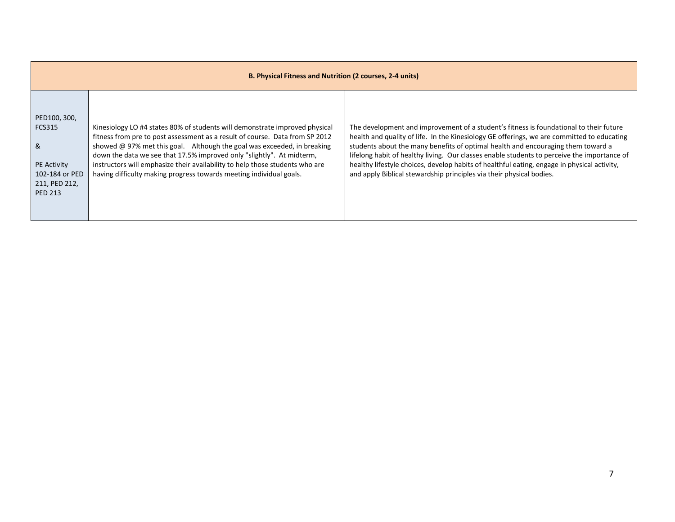| B. Physical Fitness and Nutrition (2 courses, 2-4 units)                                                      |                                                                                                                                                                                                                                                                                                                                                                                                                                                                        |                                                                                                                                                                                                                                                                                                                                                                                                                                                                                                                                                |
|---------------------------------------------------------------------------------------------------------------|------------------------------------------------------------------------------------------------------------------------------------------------------------------------------------------------------------------------------------------------------------------------------------------------------------------------------------------------------------------------------------------------------------------------------------------------------------------------|------------------------------------------------------------------------------------------------------------------------------------------------------------------------------------------------------------------------------------------------------------------------------------------------------------------------------------------------------------------------------------------------------------------------------------------------------------------------------------------------------------------------------------------------|
| PED100, 300,<br><b>FCS315</b><br>&<br><b>PE Activity</b><br>102-184 or PED<br>211, PED 212,<br><b>PED 213</b> | Kinesiology LO #4 states 80% of students will demonstrate improved physical<br>fitness from pre to post assessment as a result of course. Data from SP 2012<br>showed @ 97% met this goal. Although the goal was exceeded, in breaking<br>down the data we see that 17.5% improved only "slightly". At midterm,<br>instructors will emphasize their availability to help those students who are<br>having difficulty making progress towards meeting individual goals. | The development and improvement of a student's fitness is foundational to their future<br>health and quality of life. In the Kinesiology GE offerings, we are committed to educating<br>students about the many benefits of optimal health and encouraging them toward a<br>lifelong habit of healthy living. Our classes enable students to perceive the importance of<br>healthy lifestyle choices, develop habits of healthful eating, engage in physical activity,<br>and apply Biblical stewardship principles via their physical bodies. |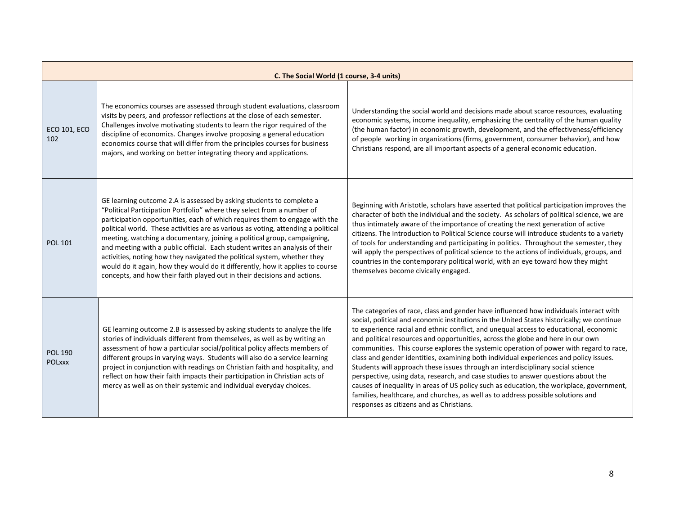| C. The Social World (1 course, 3-4 units) |                                                                                                                                                                                                                                                                                                                                                                                                                                                                                                                                                                                                                                                                                                                         |                                                                                                                                                                                                                                                                                                                                                                                                                                                                                                                                                                                                                                                                                                                                                                                                                                                                                                                                                         |
|-------------------------------------------|-------------------------------------------------------------------------------------------------------------------------------------------------------------------------------------------------------------------------------------------------------------------------------------------------------------------------------------------------------------------------------------------------------------------------------------------------------------------------------------------------------------------------------------------------------------------------------------------------------------------------------------------------------------------------------------------------------------------------|---------------------------------------------------------------------------------------------------------------------------------------------------------------------------------------------------------------------------------------------------------------------------------------------------------------------------------------------------------------------------------------------------------------------------------------------------------------------------------------------------------------------------------------------------------------------------------------------------------------------------------------------------------------------------------------------------------------------------------------------------------------------------------------------------------------------------------------------------------------------------------------------------------------------------------------------------------|
| <b>ECO 101, ECO</b><br>102                | The economics courses are assessed through student evaluations, classroom<br>visits by peers, and professor reflections at the close of each semester.<br>Challenges involve motivating students to learn the rigor required of the<br>discipline of economics. Changes involve proposing a general education<br>economics course that will differ from the principles courses for business<br>majors, and working on better integrating theory and applications.                                                                                                                                                                                                                                                       | Understanding the social world and decisions made about scarce resources, evaluating<br>economic systems, income inequality, emphasizing the centrality of the human quality<br>(the human factor) in economic growth, development, and the effectiveness/efficiency<br>of people working in organizations (firms, government, consumer behavior), and how<br>Christians respond, are all important aspects of a general economic education.                                                                                                                                                                                                                                                                                                                                                                                                                                                                                                            |
| <b>POL 101</b>                            | GE learning outcome 2.A is assessed by asking students to complete a<br>"Political Participation Portfolio" where they select from a number of<br>participation opportunities, each of which requires them to engage with the<br>political world. These activities are as various as voting, attending a political<br>meeting, watching a documentary, joining a political group, campaigning,<br>and meeting with a public official. Each student writes an analysis of their<br>activities, noting how they navigated the political system, whether they<br>would do it again, how they would do it differently, how it applies to course<br>concepts, and how their faith played out in their decisions and actions. | Beginning with Aristotle, scholars have asserted that political participation improves the<br>character of both the individual and the society. As scholars of political science, we are<br>thus intimately aware of the importance of creating the next generation of active<br>citizens. The Introduction to Political Science course will introduce students to a variety<br>of tools for understanding and participating in politics. Throughout the semester, they<br>will apply the perspectives of political science to the actions of individuals, groups, and<br>countries in the contemporary political world, with an eye toward how they might<br>themselves become civically engaged.                                                                                                                                                                                                                                                      |
| <b>POL 190</b><br><b>POLXXX</b>           | GE learning outcome 2.B is assessed by asking students to analyze the life<br>stories of individuals different from themselves, as well as by writing an<br>assessment of how a particular social/political policy affects members of<br>different groups in varying ways. Students will also do a service learning<br>project in conjunction with readings on Christian faith and hospitality, and<br>reflect on how their faith impacts their participation in Christian acts of<br>mercy as well as on their systemic and individual everyday choices.                                                                                                                                                               | The categories of race, class and gender have influenced how individuals interact with<br>social, political and economic institutions in the United States historically; we continue<br>to experience racial and ethnic conflict, and unequal access to educational, economic<br>and political resources and opportunities, across the globe and here in our own<br>communities. This course explores the systemic operation of power with regard to race,<br>class and gender identities, examining both individual experiences and policy issues.<br>Students will approach these issues through an interdisciplinary social science<br>perspective, using data, research, and case studies to answer questions about the<br>causes of inequality in areas of US policy such as education, the workplace, government,<br>families, healthcare, and churches, as well as to address possible solutions and<br>responses as citizens and as Christians. |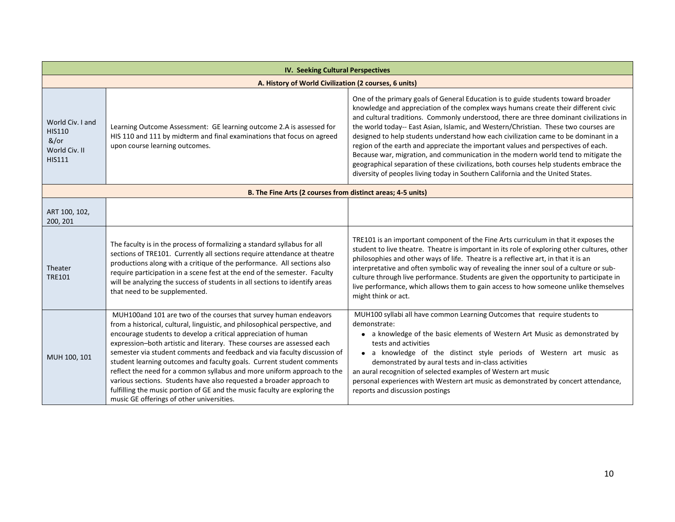| <b>IV. Seeking Cultural Perspectives</b>                                    |                                                                                                                                                                                                                                                                                                                                                                                                                                                                                                                                                                                                                                                                                                                                |                                                                                                                                                                                                                                                                                                                                                                                                                                                                                                                                                                                                                                                                                                                                                                                                          |
|-----------------------------------------------------------------------------|--------------------------------------------------------------------------------------------------------------------------------------------------------------------------------------------------------------------------------------------------------------------------------------------------------------------------------------------------------------------------------------------------------------------------------------------------------------------------------------------------------------------------------------------------------------------------------------------------------------------------------------------------------------------------------------------------------------------------------|----------------------------------------------------------------------------------------------------------------------------------------------------------------------------------------------------------------------------------------------------------------------------------------------------------------------------------------------------------------------------------------------------------------------------------------------------------------------------------------------------------------------------------------------------------------------------------------------------------------------------------------------------------------------------------------------------------------------------------------------------------------------------------------------------------|
| A. History of World Civilization (2 courses, 6 units)                       |                                                                                                                                                                                                                                                                                                                                                                                                                                                                                                                                                                                                                                                                                                                                |                                                                                                                                                                                                                                                                                                                                                                                                                                                                                                                                                                                                                                                                                                                                                                                                          |
| World Civ. I and<br><b>HIS110</b><br>&/or<br>World Civ. II<br><b>HIS111</b> | Learning Outcome Assessment: GE learning outcome 2.A is assessed for<br>HIS 110 and 111 by midterm and final examinations that focus on agreed<br>upon course learning outcomes.                                                                                                                                                                                                                                                                                                                                                                                                                                                                                                                                               | One of the primary goals of General Education is to guide students toward broader<br>knowledge and appreciation of the complex ways humans create their different civic<br>and cultural traditions. Commonly understood, there are three dominant civilizations in<br>the world today-- East Asian, Islamic, and Western/Christian. These two courses are<br>designed to help students understand how each civilization came to be dominant in a<br>region of the earth and appreciate the important values and perspectives of each.<br>Because war, migration, and communication in the modern world tend to mitigate the<br>geographical separation of these civilizations, both courses help students embrace the<br>diversity of peoples living today in Southern California and the United States. |
|                                                                             | B. The Fine Arts (2 courses from distinct areas; 4-5 units)                                                                                                                                                                                                                                                                                                                                                                                                                                                                                                                                                                                                                                                                    |                                                                                                                                                                                                                                                                                                                                                                                                                                                                                                                                                                                                                                                                                                                                                                                                          |
| ART 100, 102,<br>200, 201                                                   |                                                                                                                                                                                                                                                                                                                                                                                                                                                                                                                                                                                                                                                                                                                                |                                                                                                                                                                                                                                                                                                                                                                                                                                                                                                                                                                                                                                                                                                                                                                                                          |
| Theater<br><b>TRE101</b>                                                    | The faculty is in the process of formalizing a standard syllabus for all<br>sections of TRE101. Currently all sections require attendance at theatre<br>productions along with a critique of the performance. All sections also<br>require participation in a scene fest at the end of the semester. Faculty<br>will be analyzing the success of students in all sections to identify areas<br>that need to be supplemented.                                                                                                                                                                                                                                                                                                   | TRE101 is an important component of the Fine Arts curriculum in that it exposes the<br>student to live theatre. Theatre is important in its role of exploring other cultures, other<br>philosophies and other ways of life. Theatre is a reflective art, in that it is an<br>interpretative and often symbolic way of revealing the inner soul of a culture or sub-<br>culture through live performance. Students are given the opportunity to participate in<br>live performance, which allows them to gain access to how someone unlike themselves<br>might think or act.                                                                                                                                                                                                                              |
| MUH 100, 101                                                                | MUH100and 101 are two of the courses that survey human endeavors<br>from a historical, cultural, linguistic, and philosophical perspective, and<br>encourage students to develop a critical appreciation of human<br>expression-both artistic and literary. These courses are assessed each<br>semester via student comments and feedback and via faculty discussion of<br>student learning outcomes and faculty goals. Current student comments<br>reflect the need for a common syllabus and more uniform approach to the<br>various sections. Students have also requested a broader approach to<br>fulfilling the music portion of GE and the music faculty are exploring the<br>music GE offerings of other universities. | MUH100 syllabi all have common Learning Outcomes that require students to<br>demonstrate:<br>• a knowledge of the basic elements of Western Art Music as demonstrated by<br>tests and activities<br>• a knowledge of the distinct style periods of Western art music as<br>demonstrated by aural tests and in-class activities<br>an aural recognition of selected examples of Western art music<br>personal experiences with Western art music as demonstrated by concert attendance,<br>reports and discussion postings                                                                                                                                                                                                                                                                                |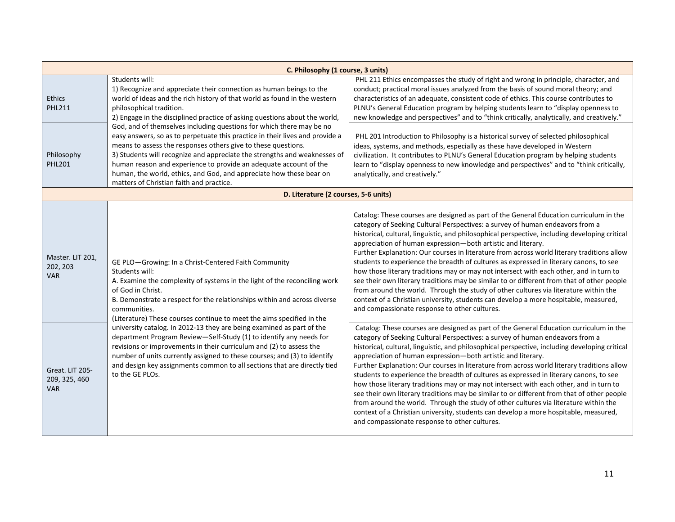| C. Philosophy (1 course, 3 units)              |                                                                                                                                                                                                                                                                                                                                                                                                                                                                                            |                                                                                                                                                                                                                                                                                                                                                                                                                                                                                                                                                                                                                                                                                                                                                                                                                                                                                                                                                            |
|------------------------------------------------|--------------------------------------------------------------------------------------------------------------------------------------------------------------------------------------------------------------------------------------------------------------------------------------------------------------------------------------------------------------------------------------------------------------------------------------------------------------------------------------------|------------------------------------------------------------------------------------------------------------------------------------------------------------------------------------------------------------------------------------------------------------------------------------------------------------------------------------------------------------------------------------------------------------------------------------------------------------------------------------------------------------------------------------------------------------------------------------------------------------------------------------------------------------------------------------------------------------------------------------------------------------------------------------------------------------------------------------------------------------------------------------------------------------------------------------------------------------|
| <b>Ethics</b><br><b>PHL211</b>                 | Students will:<br>1) Recognize and appreciate their connection as human beings to the<br>world of ideas and the rich history of that world as found in the western<br>philosophical tradition.<br>2) Engage in the disciplined practice of asking questions about the world,                                                                                                                                                                                                               | PHL 211 Ethics encompasses the study of right and wrong in principle, character, and<br>conduct; practical moral issues analyzed from the basis of sound moral theory; and<br>characteristics of an adequate, consistent code of ethics. This course contributes to<br>PLNU's General Education program by helping students learn to "display openness to<br>new knowledge and perspectives" and to "think critically, analytically, and creatively."                                                                                                                                                                                                                                                                                                                                                                                                                                                                                                      |
| Philosophy<br><b>PHL201</b>                    | God, and of themselves including questions for which there may be no<br>easy answers, so as to perpetuate this practice in their lives and provide a<br>means to assess the responses others give to these questions.<br>3) Students will recognize and appreciate the strengths and weaknesses of<br>human reason and experience to provide an adequate account of the<br>human, the world, ethics, and God, and appreciate how these bear on<br>matters of Christian faith and practice. | PHL 201 Introduction to Philosophy is a historical survey of selected philosophical<br>ideas, systems, and methods, especially as these have developed in Western<br>civilization. It contributes to PLNU's General Education program by helping students<br>learn to "display openness to new knowledge and perspectives" and to "think critically,<br>analytically, and creatively."                                                                                                                                                                                                                                                                                                                                                                                                                                                                                                                                                                     |
|                                                | D. Literature (2 courses, 5-6 units)                                                                                                                                                                                                                                                                                                                                                                                                                                                       |                                                                                                                                                                                                                                                                                                                                                                                                                                                                                                                                                                                                                                                                                                                                                                                                                                                                                                                                                            |
| Master. LIT 201,<br>202, 203<br><b>VAR</b>     | GE PLO-Growing: In a Christ-Centered Faith Community<br>Students will:<br>A. Examine the complexity of systems in the light of the reconciling work<br>of God in Christ.<br>B. Demonstrate a respect for the relationships within and across diverse<br>communities.<br>(Literature) These courses continue to meet the aims specified in the                                                                                                                                              | Catalog: These courses are designed as part of the General Education curriculum in the<br>category of Seeking Cultural Perspectives: a survey of human endeavors from a<br>historical, cultural, linguistic, and philosophical perspective, including developing critical<br>appreciation of human expression-both artistic and literary.<br>Further Explanation: Our courses in literature from across world literary traditions allow<br>students to experience the breadth of cultures as expressed in literary canons, to see<br>how those literary traditions may or may not intersect with each other, and in turn to<br>see their own literary traditions may be similar to or different from that of other people<br>from around the world. Through the study of other cultures via literature within the<br>context of a Christian university, students can develop a more hospitable, measured,<br>and compassionate response to other cultures. |
| Great. LIT 205-<br>209, 325, 460<br><b>VAR</b> | university catalog. In 2012-13 they are being examined as part of the<br>department Program Review-Self-Study (1) to identify any needs for<br>revisions or improvements in their curriculum and (2) to assess the<br>number of units currently assigned to these courses; and (3) to identify<br>and design key assignments common to all sections that are directly tied<br>to the GE PLOs.                                                                                              | Catalog: These courses are designed as part of the General Education curriculum in the<br>category of Seeking Cultural Perspectives: a survey of human endeavors from a<br>historical, cultural, linguistic, and philosophical perspective, including developing critical<br>appreciation of human expression-both artistic and literary.<br>Further Explanation: Our courses in literature from across world literary traditions allow<br>students to experience the breadth of cultures as expressed in literary canons, to see<br>how those literary traditions may or may not intersect with each other, and in turn to<br>see their own literary traditions may be similar to or different from that of other people<br>from around the world. Through the study of other cultures via literature within the<br>context of a Christian university, students can develop a more hospitable, measured,<br>and compassionate response to other cultures. |